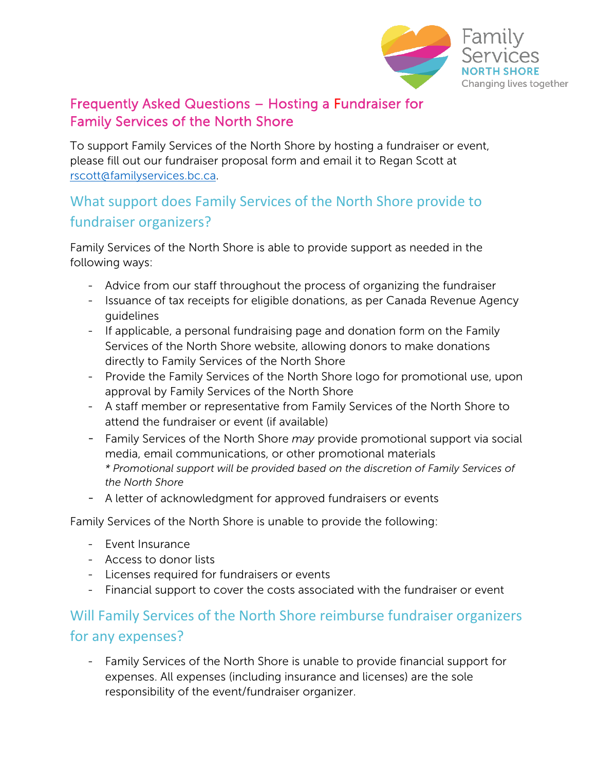

### Frequently Asked Questions – Hosting a Fundraiser for Family Services of the North Shore

To support Family Services of the North Shore by hosting a fundraiser or event, please fill out our [fundraiser proposal](https://www.familyservices.bc.ca/wp-content/uploads/2021/03/Family-Services-of-the-North-Shore-Fundraising-Proposal-Form.pdf) form and email it to Regan Scott at [rscott@familyservices.bc.ca.](mailto:rscott@familyservices.bc.ca)

# What support does Family Services of the North Shore provide to fundraiser organizers?

Family Services of the North Shore is able to provide support as needed in the following ways:

- Advice from our staff throughout the process of organizing the fundraiser
- Issuance of tax receipts for eligible donations, as per Canada Revenue Agency guidelines
- If applicable, a personal fundraising page and donation form on the Family Services of the North Shore website, allowing donors to make donations directly to Family Services of the North Shore
- Provide the Family Services of the North Shore logo for promotional use, upon approval by Family Services of the North Shore
- A staff member or representative from Family Services of the North Shore to attend the fundraiser or event (if available)
- Family Services of the North Shore *may* provide promotional support via social media, email communications, or other promotional materials *\* Promotional support will be provided based on the discretion of Family Services of the North Shore*
- A letter of acknowledgment for approved fundraisers or events

Family Services of the North Shore is unable to provide the following:

- Event Insurance
- Access to donor lists
- Licenses required for fundraisers or events
- Financial support to cover the costs associated with the fundraiser or event

# Will Family Services of the North Shore reimburse fundraiser organizers for any expenses?

- Family Services of the North Shore is unable to provide financial support for expenses. All expenses (including insurance and licenses) are the sole responsibility of the event/fundraiser organizer.